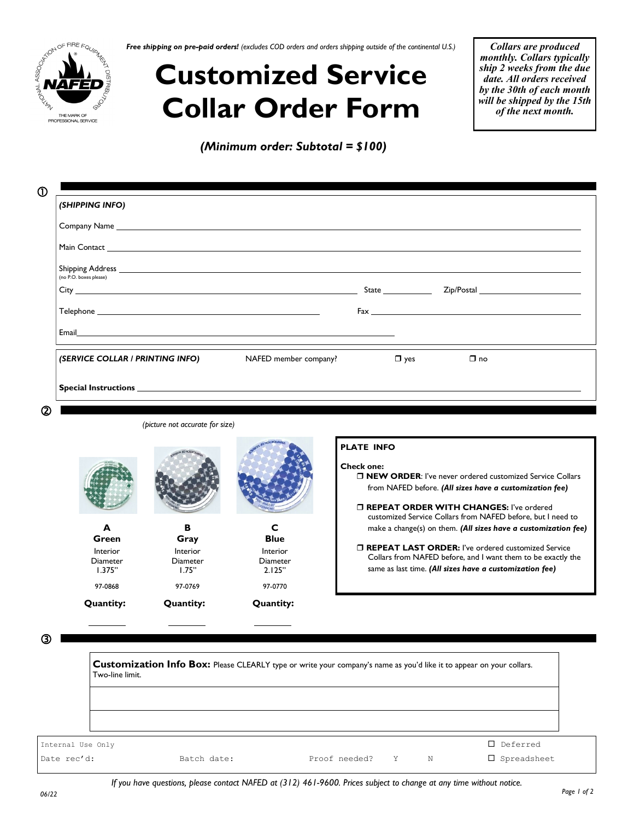

*Free shipping on pre-paid orders! (excludes COD orders and orders shipping outside of the continental U.S.)*

## **Customized Service Collar Order Form**

*(Minimum order: Subtotal = \$100)*

*Collars are produced monthly. Collars typically ship 2 weeks from the due date. All orders received by the 30th of each month will be shipped by the 15th of the next month.*

| (SERVICE COLLAR / PRINTING INFO)<br>NAFED member company? |  | $\square$ no |                                     |
|-----------------------------------------------------------|--|--------------|-------------------------------------|
|                                                           |  |              |                                     |
|                                                           |  |              | $\mathsf{Zip/Postal}$<br>$\Box$ yes |

*(picture not accurate for size)*

**B Gray** Interior Diameter 1.75"

97-0868 97-0769 97-0770

**Quantity: Quantity:**

#### **PLATE INFO**

**Check one:** 

 **NEW ORDER**: I've never ordered customized Service Collars from NAFED before. *(All sizes have a customization fee)*

 **REPEAT ORDER WITH CHANGES:** I've ordered customized Service Collars from NAFED before, but I need to make a change(s) on them. *(All sizes have a customization fee)*

 **REPEAT LAST ORDER:** I've ordered customized Service Collars from NAFED before, and I want them to be exactly the same as last time. *(All sizes have a customization fee)*

③

| Two-line limit.   | Customization Info Box: Please CLEARLY type or write your company's name as you'd like it to appear on your collars. |               |   |   |                       |
|-------------------|----------------------------------------------------------------------------------------------------------------------|---------------|---|---|-----------------------|
|                   |                                                                                                                      |               |   |   |                       |
|                   |                                                                                                                      |               |   |   |                       |
| Internal Use Only |                                                                                                                      |               |   |   | $\Box$ Deferred       |
| Date rec'd:       | Batch date:                                                                                                          | Proof needed? | Y | N | $\square$ Spreadsheet |

**Quantity:**

**A Green** Interior Diameter 1.375"

**C Blue** Interior **Diameter** 2.125"